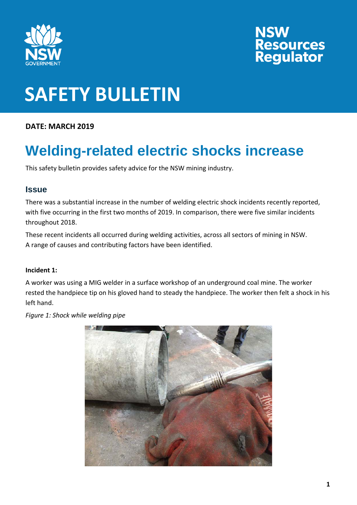

# **NSW<br>Resources<br>Regulator**

### **SAFETY BULLETIN**

**DATE: MARCH 2019**

### **Welding-related electric shocks increase**

This safety bulletin provides safety advice for the NSW mining industry.

### **Issue**

There was a substantial increase in the number of welding electric shock incidents recently reported, with five occurring in the first two months of 2019. In comparison, there were five similar incidents throughout 2018.

These recent incidents all occurred during welding activities, across all sectors of mining in NSW. A range of causes and contributing factors have been identified.

### **Incident 1:**

A worker was using a MIG welder in a surface workshop of an underground coal mine. The worker rested the handpiece tip on his gloved hand to steady the handpiece. The worker then felt a shock in his left hand.

*Figure 1: Shock while welding pipe*

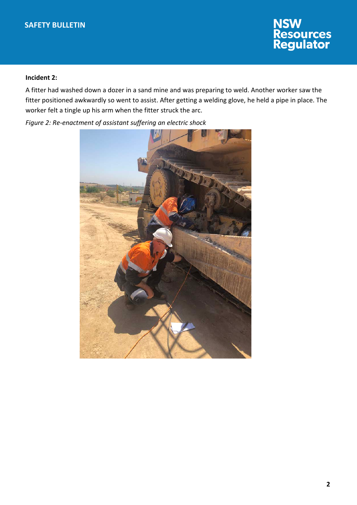## **NSW<br>Resources<br>Regulator**

#### **Incident 2:**

A fitter had washed down a dozer in a sand mine and was preparing to weld. Another worker saw the fitter positioned awkwardly so went to assist. After getting a welding glove, he held a pipe in place. The worker felt a tingle up his arm when the fitter struck the arc.

*Figure 2: Re-enactment of assistant suffering an electric shock*

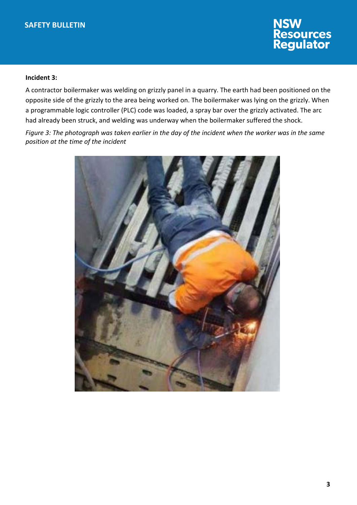### **NSW<br>Resources<br>Regulator**

#### **Incident 3:**

A contractor boilermaker was welding on grizzly panel in a quarry. The earth had been positioned on the opposite side of the grizzly to the area being worked on. The boilermaker was lying on the grizzly. When a programmable logic controller (PLC) code was loaded, a spray bar over the grizzly activated. The arc had already been struck, and welding was underway when the boilermaker suffered the shock.

*Figure 3: The photograph was taken earlier in the day of the incident when the worker was in the same position at the time of the incident*

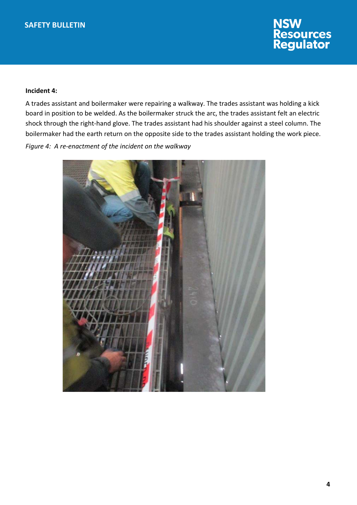

#### **Incident 4:**

A trades assistant and boilermaker were repairing a walkway. The trades assistant was holding a kick board in position to be welded. As the boilermaker struck the arc, the trades assistant felt an electric shock through the right-hand glove. The trades assistant had his shoulder against a steel column. The boilermaker had the earth return on the opposite side to the trades assistant holding the work piece. *Figure 4: A re-enactment of the incident on the walkway*

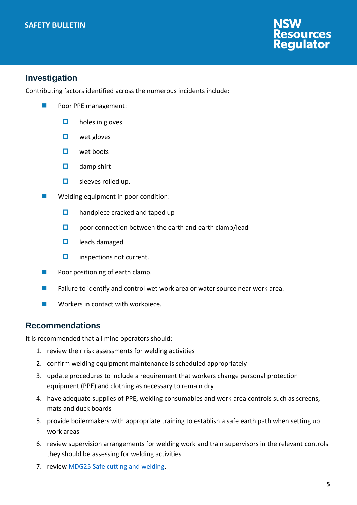### **SAFETY BULLETIN**



### **Investigation**

Contributing factors identified across the numerous incidents include:

- Poor PPE management:
	- $\Box$  holes in gloves
	- $\Box$  wet gloves
	- $\Box$  wet boots
	- $\Box$  damp shirt
	- $\Box$  sleeves rolled up.
- Welding equipment in poor condition:
	- $\Box$  handpiece cracked and taped up
	- $\square$  poor connection between the earth and earth clamp/lead
	- $\Box$  leads damaged
	- $\Box$  inspections not current.
- $\blacksquare$  Poor positioning of earth clamp.
- **Failure to identify and control wet work area or water source near work area.**
- **Norkers in contact with workpiece.**

### **Recommendations**

It is recommended that all mine operators should:

- 1. review their risk assessments for welding activities
- 2. confirm welding equipment maintenance is scheduled appropriately
- 3. update procedures to include a requirement that workers change personal protection equipment (PPE) and clothing as necessary to remain dry
- 4. have adequate supplies of PPE, welding consumables and work area controls such as screens, mats and duck boards
- 5. provide boilermakers with appropriate training to establish a safe earth path when setting up work areas
- 6. review supervision arrangements for welding work and train supervisors in the relevant controls they should be assessing for welding activities
- 7. review [MDG25 Safe cutting and welding.](https://www.resourcesregulator.nsw.gov.au/__data/assets/pdf_file/0008/419462/MDG-25.pdf)